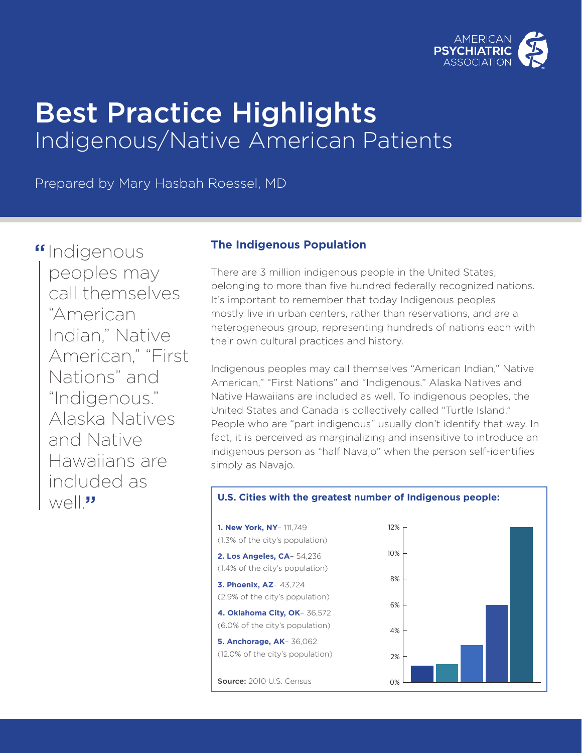

# Best Practice Highlights Indigenous/Native American Patients

Prepared by Mary Hasbah Roessel, MD

"Indigenous peoples may call themselves "American Indian," Native American," "First Nations" and "Indigenous." Alaska Natives and Native Hawaiians are included as well<sup>"</sup>

## **The Indigenous Population**

There are 3 million indigenous people in the United States, belonging to more than five hundred federally recognized nations. It's important to remember that today Indigenous peoples mostly live in urban centers, rather than reservations, and are a heterogeneous group, representing hundreds of nations each with their own cultural practices and history.

Indigenous peoples may call themselves "American Indian," Native American," "First Nations" and "Indigenous." Alaska Natives and Native Hawaiians are included as well. To indigenous peoples, the United States and Canada is collectively called "Turtle Island." People who are "part indigenous" usually don't identify that way. In fact, it is perceived as marginalizing and insensitive to introduce an indigenous person as "half Navajo" when the person self-identifies simply as Navajo.

#### **U.S. Cities with the greatest number of Indigenous people:**

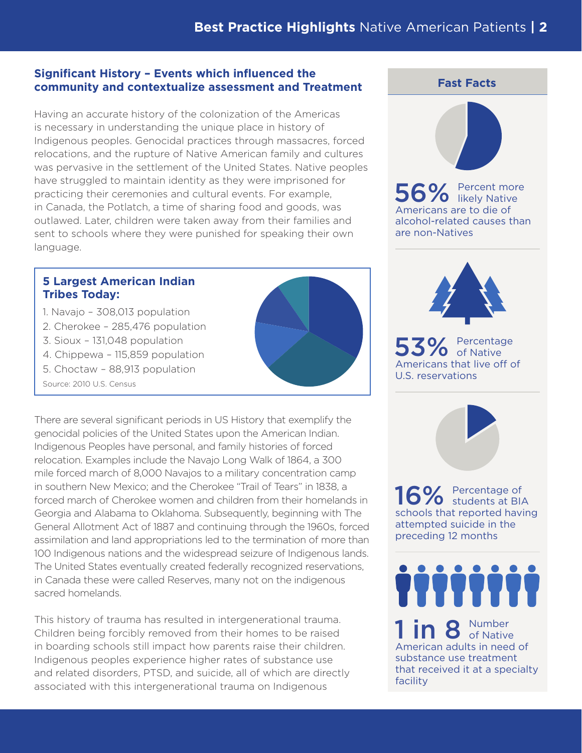#### **Significant History – Events which influenced the community and contextualize assessment and Treatment**

Having an accurate history of the colonization of the Americas is necessary in understanding the unique place in history of Indigenous peoples. Genocidal practices through massacres, forced relocations, and the rupture of Native American family and cultures was pervasive in the settlement of the United States. Native peoples have struggled to maintain identity as they were imprisoned for practicing their ceremonies and cultural events. For example, in Canada, the Potlatch, a time of sharing food and goods, was outlawed. Later, children were taken away from their families and sent to schools where they were punished for speaking their own language.

### **5 Largest American Indian Tribes Today:**

- 1. Navajo 308,013 population
- 2. Cherokee 285,476 population
- 3. Sioux 131,048 population
- 4. Chippewa 115,859 population
- 5. Choctaw 88,913 population
- Source: 2010 U.S. Census



This history of trauma has resulted in intergenerational trauma. Children being forcibly removed from their homes to be raised in boarding schools still impact how parents raise their children. Indigenous peoples experience higher rates of substance use and related disorders, PTSD, and suicide, all of which are directly associated with this intergenerational trauma on Indigenous

### **Fast Facts**



56% Percent more likely Native Americans are to die of alcohol-related causes than are non-Natives



53% Percentage of Native Americans that live off of U.S. reservations

16% Percentage of Students at BIA schools that reported having attempted suicide in the preceding 12 months

**TITTITTI**  $1$  in 8  $_{\textrm{\tiny{of Nature}}}^{\textrm{\tiny{Number}}}$ American adults in need of substance use treatment that received it at a specialty facility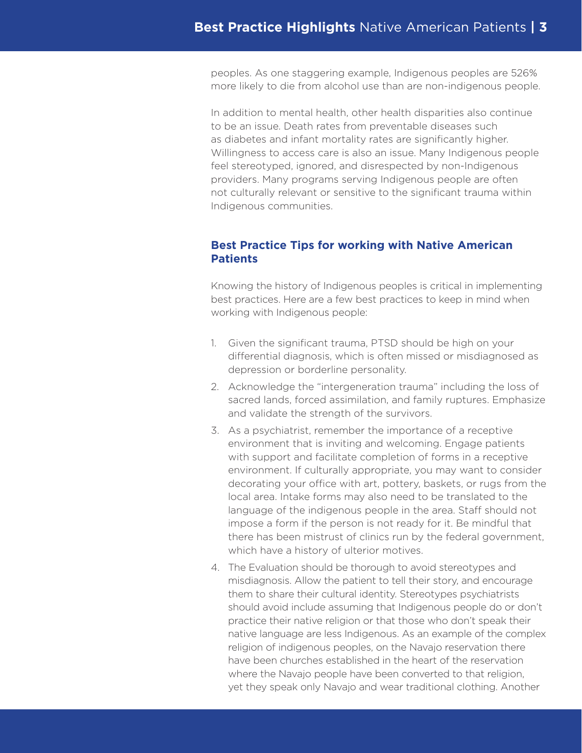peoples. As one staggering example, Indigenous peoples are 526% more likely to die from alcohol use than are non-indigenous people.

In addition to mental health, other health disparities also continue to be an issue. Death rates from preventable diseases such as diabetes and infant mortality rates are significantly higher. Willingness to access care is also an issue. Many Indigenous people feel stereotyped, ignored, and disrespected by non-Indigenous providers. Many programs serving Indigenous people are often not culturally relevant or sensitive to the significant trauma within Indigenous communities.

#### **Best Practice Tips for working with Native American Patients**

Knowing the history of Indigenous peoples is critical in implementing best practices. Here are a few best practices to keep in mind when working with Indigenous people:

- 1. Given the significant trauma, PTSD should be high on your differential diagnosis, which is often missed or misdiagnosed as depression or borderline personality.
- 2. Acknowledge the "intergeneration trauma" including the loss of sacred lands, forced assimilation, and family ruptures. Emphasize and validate the strength of the survivors.
- 3. As a psychiatrist, remember the importance of a receptive environment that is inviting and welcoming. Engage patients with support and facilitate completion of forms in a receptive environment. If culturally appropriate, you may want to consider decorating your office with art, pottery, baskets, or rugs from the local area. Intake forms may also need to be translated to the language of the indigenous people in the area. Staff should not impose a form if the person is not ready for it. Be mindful that there has been mistrust of clinics run by the federal government, which have a history of ulterior motives.
- 4. The Evaluation should be thorough to avoid stereotypes and misdiagnosis. Allow the patient to tell their story, and encourage them to share their cultural identity. Stereotypes psychiatrists should avoid include assuming that Indigenous people do or don't practice their native religion or that those who don't speak their native language are less Indigenous. As an example of the complex religion of indigenous peoples, on the Navajo reservation there have been churches established in the heart of the reservation where the Navajo people have been converted to that religion, yet they speak only Navajo and wear traditional clothing. Another